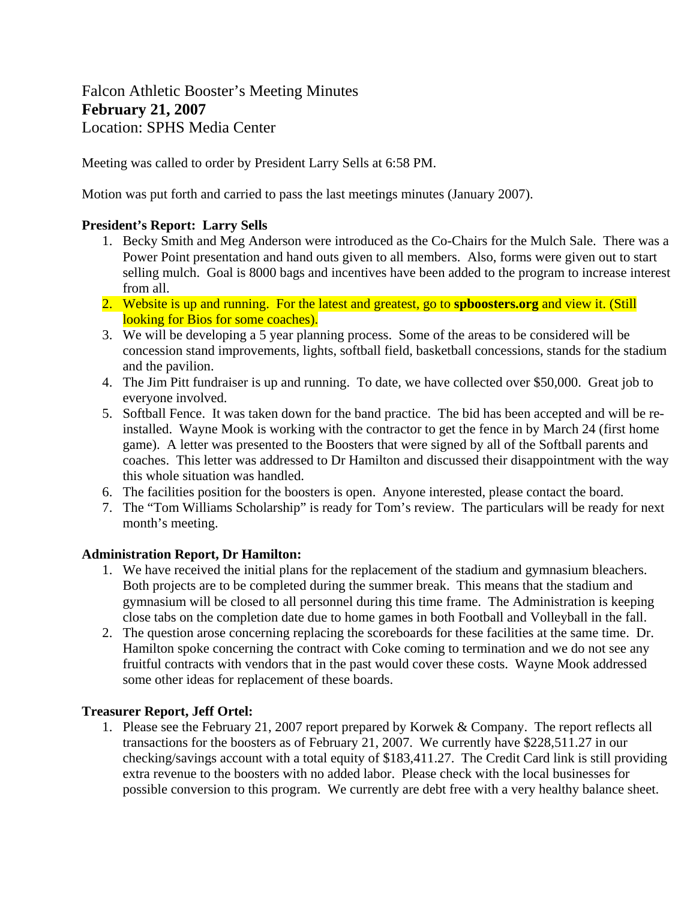# Falcon Athletic Booster's Meeting Minutes **February 21, 2007**  Location: SPHS Media Center

Meeting was called to order by President Larry Sells at 6:58 PM.

Motion was put forth and carried to pass the last meetings minutes (January 2007).

## **President's Report: Larry Sells**

- 1. Becky Smith and Meg Anderson were introduced as the Co-Chairs for the Mulch Sale. There was a Power Point presentation and hand outs given to all members. Also, forms were given out to start selling mulch. Goal is 8000 bags and incentives have been added to the program to increase interest from all.
- 2. Website is up and running. For the latest and greatest, go to **spboosters.org** and view it. (Still looking for Bios for some coaches).
- 3. We will be developing a 5 year planning process. Some of the areas to be considered will be concession stand improvements, lights, softball field, basketball concessions, stands for the stadium and the pavilion.
- 4. The Jim Pitt fundraiser is up and running. To date, we have collected over \$50,000. Great job to everyone involved.
- 5. Softball Fence. It was taken down for the band practice. The bid has been accepted and will be reinstalled. Wayne Mook is working with the contractor to get the fence in by March 24 (first home game). A letter was presented to the Boosters that were signed by all of the Softball parents and coaches. This letter was addressed to Dr Hamilton and discussed their disappointment with the way this whole situation was handled.
- 6. The facilities position for the boosters is open. Anyone interested, please contact the board.
- 7. The "Tom Williams Scholarship" is ready for Tom's review. The particulars will be ready for next month's meeting.

# **Administration Report, Dr Hamilton:**

- 1. We have received the initial plans for the replacement of the stadium and gymnasium bleachers. Both projects are to be completed during the summer break. This means that the stadium and gymnasium will be closed to all personnel during this time frame. The Administration is keeping close tabs on the completion date due to home games in both Football and Volleyball in the fall.
- 2. The question arose concerning replacing the scoreboards for these facilities at the same time. Dr. Hamilton spoke concerning the contract with Coke coming to termination and we do not see any fruitful contracts with vendors that in the past would cover these costs. Wayne Mook addressed some other ideas for replacement of these boards.

## **Treasurer Report, Jeff Ortel:**

1. Please see the February 21, 2007 report prepared by Korwek & Company. The report reflects all transactions for the boosters as of February 21, 2007. We currently have \$228,511.27 in our checking/savings account with a total equity of \$183,411.27. The Credit Card link is still providing extra revenue to the boosters with no added labor. Please check with the local businesses for possible conversion to this program. We currently are debt free with a very healthy balance sheet.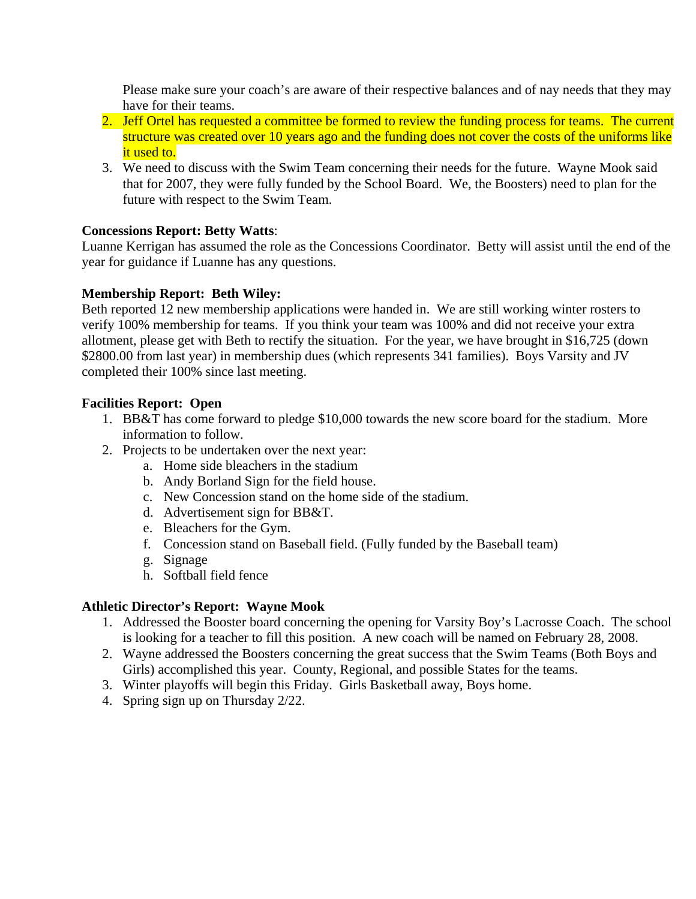Please make sure your coach's are aware of their respective balances and of nay needs that they may have for their teams.

- 2. Jeff Ortel has requested a committee be formed to review the funding process for teams. The current structure was created over 10 years ago and the funding does not cover the costs of the uniforms like it used to.
- 3. We need to discuss with the Swim Team concerning their needs for the future. Wayne Mook said that for 2007, they were fully funded by the School Board. We, the Boosters) need to plan for the future with respect to the Swim Team.

## **Concessions Report: Betty Watts**:

Luanne Kerrigan has assumed the role as the Concessions Coordinator. Betty will assist until the end of the year for guidance if Luanne has any questions.

## **Membership Report: Beth Wiley:**

Beth reported 12 new membership applications were handed in. We are still working winter rosters to verify 100% membership for teams. If you think your team was 100% and did not receive your extra allotment, please get with Beth to rectify the situation. For the year, we have brought in \$16,725 (down \$2800.00 from last year) in membership dues (which represents 341 families). Boys Varsity and JV completed their 100% since last meeting.

## **Facilities Report: Open**

- 1. BB&T has come forward to pledge \$10,000 towards the new score board for the stadium. More information to follow.
- 2. Projects to be undertaken over the next year:
	- a. Home side bleachers in the stadium
	- b. Andy Borland Sign for the field house.
	- c. New Concession stand on the home side of the stadium.
	- d. Advertisement sign for BB&T.
	- e. Bleachers for the Gym.
	- f. Concession stand on Baseball field. (Fully funded by the Baseball team)
	- g. Signage
	- h. Softball field fence

#### **Athletic Director's Report: Wayne Mook**

- 1. Addressed the Booster board concerning the opening for Varsity Boy's Lacrosse Coach. The school is looking for a teacher to fill this position. A new coach will be named on February 28, 2008.
- 2. Wayne addressed the Boosters concerning the great success that the Swim Teams (Both Boys and Girls) accomplished this year. County, Regional, and possible States for the teams.
- 3. Winter playoffs will begin this Friday. Girls Basketball away, Boys home.
- 4. Spring sign up on Thursday 2/22.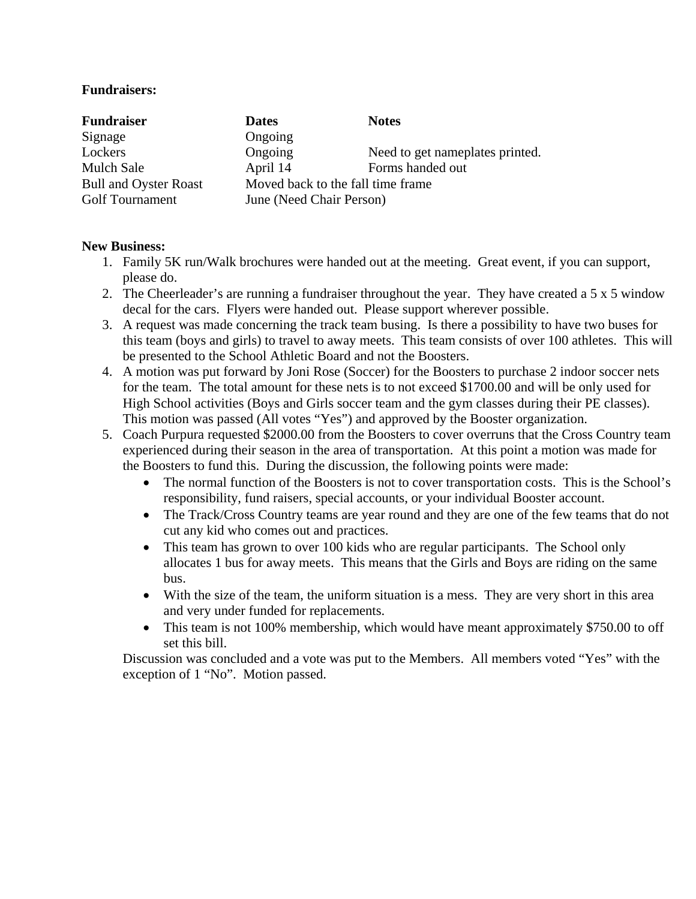#### **Fundraisers:**

| <b>Fundraiser</b>            | <b>Dates</b>                      | <b>Notes</b>                    |
|------------------------------|-----------------------------------|---------------------------------|
| Signage                      | Ongoing                           |                                 |
| Lockers                      | Ongoing                           | Need to get nameplates printed. |
| <b>Mulch Sale</b>            | April 14                          | Forms handed out                |
| <b>Bull and Oyster Roast</b> | Moved back to the fall time frame |                                 |
| <b>Golf Tournament</b>       | June (Need Chair Person)          |                                 |

## **New Business:**

- 1. Family 5K run/Walk brochures were handed out at the meeting. Great event, if you can support, please do.
- 2. The Cheerleader's are running a fundraiser throughout the year. They have created a 5 x 5 window decal for the cars. Flyers were handed out. Please support wherever possible.
- 3. A request was made concerning the track team busing. Is there a possibility to have two buses for this team (boys and girls) to travel to away meets. This team consists of over 100 athletes. This will be presented to the School Athletic Board and not the Boosters.
- 4. A motion was put forward by Joni Rose (Soccer) for the Boosters to purchase 2 indoor soccer nets for the team. The total amount for these nets is to not exceed \$1700.00 and will be only used for High School activities (Boys and Girls soccer team and the gym classes during their PE classes). This motion was passed (All votes "Yes") and approved by the Booster organization.
- 5. Coach Purpura requested \$2000.00 from the Boosters to cover overruns that the Cross Country team experienced during their season in the area of transportation. At this point a motion was made for the Boosters to fund this. During the discussion, the following points were made:
	- The normal function of the Boosters is not to cover transportation costs. This is the School's responsibility, fund raisers, special accounts, or your individual Booster account.
	- The Track/Cross Country teams are year round and they are one of the few teams that do not cut any kid who comes out and practices.
	- This team has grown to over 100 kids who are regular participants. The School only allocates 1 bus for away meets. This means that the Girls and Boys are riding on the same bus.
	- With the size of the team, the uniform situation is a mess. They are very short in this area and very under funded for replacements.
	- This team is not 100% membership, which would have meant approximately \$750.00 to off set this bill.

Discussion was concluded and a vote was put to the Members. All members voted "Yes" with the exception of 1 "No". Motion passed.